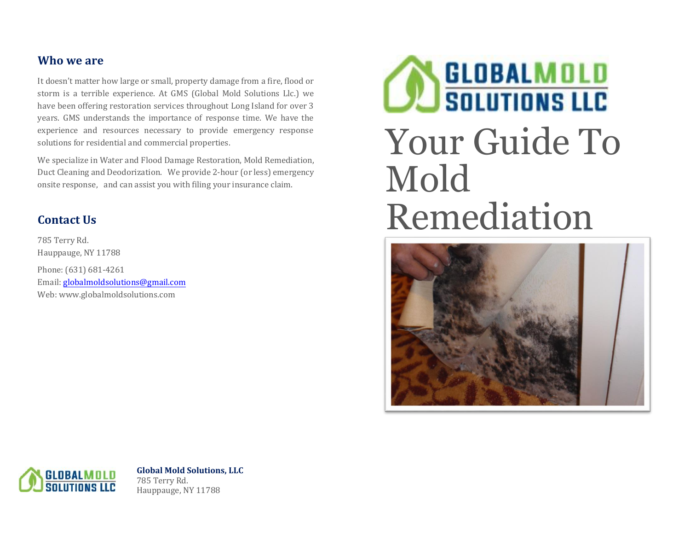# **Who we are**

It doesn't matter how large or small, property damage from a fire, flood or storm is a terrible experience. At GMS (Global Mold Solutions Llc.) we have been offering restoration services throughout Long Island for over 3 years. GMS understands the importance of response time. We have the experience and resources necessary to provide emergency response solutions for residential and commercial properties.

We specialize in Water and Flood Damage Restoration, Mold Remediation, Duct Cleaning and Deodorization. We provide 2-hour (or less) emergency onsite response, and can assist you with filing your insurance claim.

# **Contact Us**

785 Terry Rd. Hauppauge, NY 11788 Phone: (631) 681-4261 Email[: globalmoldsolutions@gmail.com](mailto:globalmoldsolutions@gmail.com) Web: www.globalmoldsolutions.com

# **BLOBALMOLD**<br>SOLUTIONS LLC Your Guide To Mold Remediation





**Global Mold Solutions, LLC** 785 Terry Rd. Hauppauge, NY 11788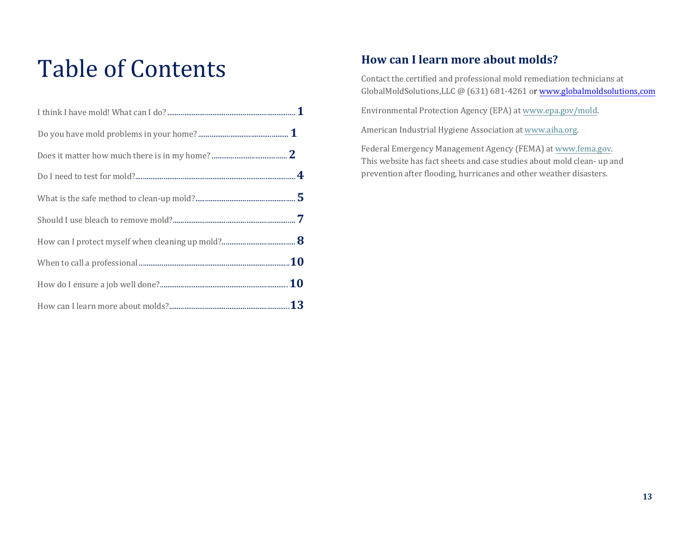# Table of Contents

# **How can I learn more about molds?**

Contact the certified and professional mold remediation technicians at GlobalMoldSolutions,LLC @ (631) 681-4261 or www.globalmoldsolutions,com

Envi[ronmental Protection Agency \(EP](http://www.globalmoldsolutions,com/)A) at [www.epa.gov/mold.](http://www.epa.gov/mold)

American Industrial Hygiene Association at [www.aiha.org.](http://www.aiha.org/)

Federal Emergency Management Agency (FEMA) at [www.fema.gov.](http://www.fema.gov/) This website has fact sheets and case studies about mold clean- up and prevention after flooding, hurricanes and other weather disasters.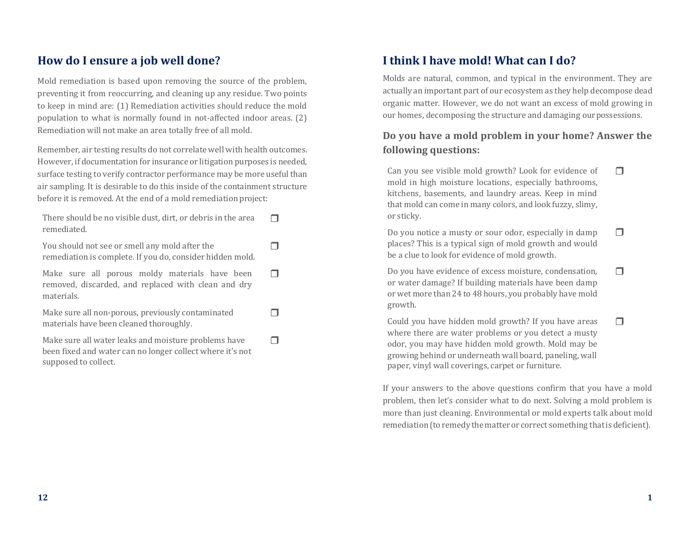# **How do I ensure a job well done?**

Mold remediation is based upon removing the source of the problem, preventing it from reoccurring, and cleaning up any residue. Two points to keep in mind are: (1) Remediation activities should reduce the mold population to what is normally found in not-affected indoor areas. (2) Remediation will not make an area totally free of all mold.

Remember, air testing results do not correlate well with health outcomes. However, if documentation for insurance or litigation purposes is needed, surface testing to verify contractor performance may be more useful than air sampling. It is desirable to do this inside of the containment structure before it is removed. At the end of a mold remediation project:

| There should be no visible dust, dirt, or debris in the area<br>remediated.                                                               |  |
|-------------------------------------------------------------------------------------------------------------------------------------------|--|
| You should not see or smell any mold after the<br>remediation is complete. If you do, consider hidden mold.                               |  |
| Make sure all porous moldy materials have been<br>removed, discarded, and replaced with clean and dry<br>materials.                       |  |
| Make sure all non-porous, previously contaminated<br>materials have been cleaned thoroughly.                                              |  |
| Make sure all water leaks and moisture problems have<br>been fixed and water can no longer collect where it's not<br>supposed to collect. |  |

# **I think I have mold! What can I do?**

Molds are natural, common, and typical in the environment. They are actually an important part of our ecosystem as they help decompose dead organic matter. However, we do not want an excess of mold growing in our homes, decomposing the structure and damaging ourpossessions.

# **Do you have a mold problem in your home? Answer the following questions:**

Can you see visible mold growth? Look for evidence of mold in high moisture locations, especially bathrooms, kitchens, basements, and laundry areas. Keep in mind that mold can come in many colors, and look fuzzy, slimy, or sticky.  $\Box$ 

Do you notice a musty or sour odor, especially in damp places? This is a typical sign of mold growth and would be a clue to look for evidence of mold growth.  $\Box$ 

Do you have evidence of excess moisture, condensation, or water damage? If building materials have been damp or wet more than 24 to 48 hours, you probably have mold growth.  $\Box$ 

Could you have hidden mold growth? If you have areas where there are water problems or you detect a musty odor, you may have hidden mold growth. Mold may be growing behind or underneath wall board, paneling, wall paper, vinyl wall coverings, carpet or furniture.  $\Box$ 

If your answers to the above questions confirm that you have a mold problem, then let's consider what to do next. Solving a mold problem is more than just cleaning. Environmental or mold experts talk about mold remediation (to remedy the matter or correct something that is deficient).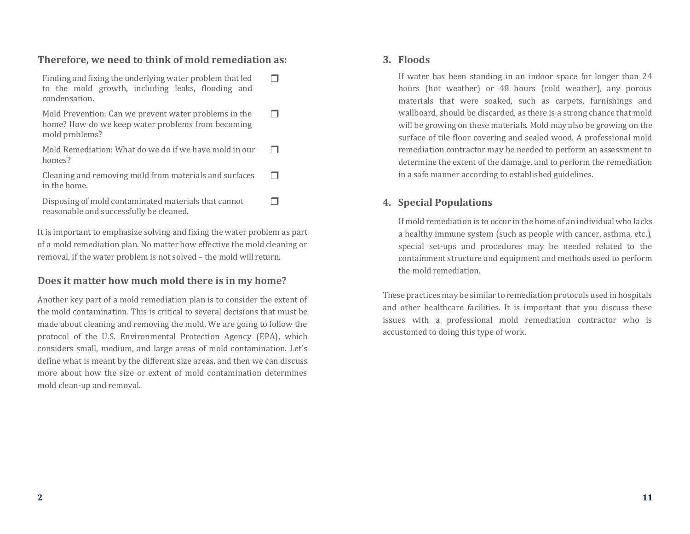#### **Therefore, we need to think of mold remediation as:**

| Finding and fixing the underlying water problem that led<br>to the mold growth, including leaks, flooding and<br>condensation. |  |
|--------------------------------------------------------------------------------------------------------------------------------|--|
| Mold Prevention: Can we prevent water problems in the<br>home? How do we keep water problems from becoming<br>mold problems?   |  |
| Mold Remediation: What do we do if we have mold in our<br>homes?                                                               |  |
| Cleaning and removing mold from materials and surfaces<br>in the home.                                                         |  |
| Disposing of mold contaminated materials that cannot<br>reasonable and successfully be cleaned.                                |  |

It is important to emphasize solving and fixing the water problem as part of a mold remediation plan. No matter how effective the mold cleaning or removal, if the water problem is not solved – the mold will return.

#### **Does it matter how much mold there is in my home?**

Another key part of a mold remediation plan is to consider the extent of the mold contamination. This is critical to several decisions that must be made about cleaning and removing the mold. We are going to follow the protocol of the U.S. Environmental Protection Agency (EPA), which considers small, medium, and large areas of mold contamination. Let's define what is meant by the different size areas, and then we can discuss more about how the size or extent of mold contamination determines mold clean-up and removal.

#### **3. Floods**

If water has been standing in an indoor space for longer than 24 hours (hot weather) or 48 hours (cold weather), any porous materials that were soaked, such as carpets, furnishings and wallboard, should be discarded, as there is a strong chance that mold will be growing on these materials. Mold may also be growing on the surface of tile floor covering and sealed wood. A professional mold remediation contractor may be needed to perform an assessment to determine the extent of the damage, and to perform the remediation in a safe manner according to established guidelines.

#### **4. Special Populations**

If mold remediation is to occur in the home of an individual who lacks a healthy immune system (such as people with cancer, asthma, etc.), special set-ups and procedures may be needed related to the containment structure and equipment and methods used to perform the mold remediation.

These practices may be similar to remediation protocols used in hospitals and other healthcare facilities. It is important that you discuss these issues with a professional mold remediation contractor who is accustomed to doing this type of work.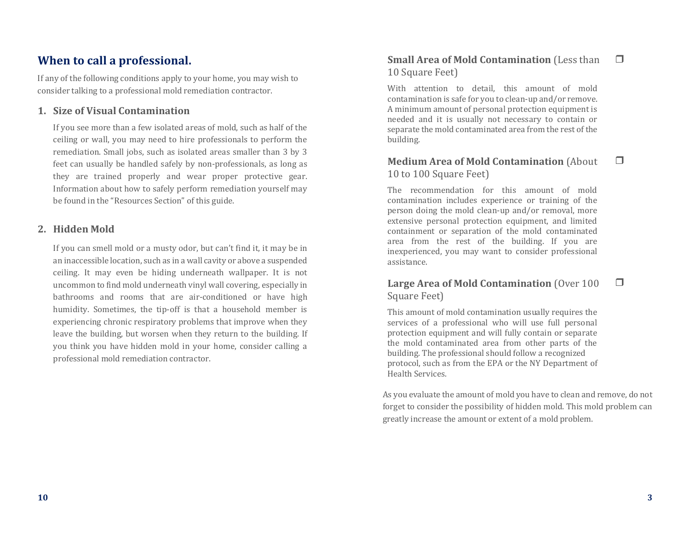# **When to call a professional.**

If any of the following conditions apply to your home, you may wish to consider talking to a professional mold remediation contractor.

#### **1. Size of Visual Contamination**

If you see more than a few isolated areas of mold, such as half of the ceiling or wall, you may need to hire professionals to perform the remediation. Small jobs, such as isolated areas smaller than 3 by 3 feet can usually be handled safely by non-professionals, as long as they are trained properly and wear proper protective gear. Information about how to safely perform remediation yourself may be found in the "Resources Section" of this guide.

#### **2. Hidden Mold**

If you can smell mold or a musty odor, but can't find it, it may be in an inaccessible location, such as in a wall cavity or above a suspended ceiling. It may even be hiding underneath wallpaper. It is not uncommon to find mold underneath vinyl wall covering, especially in bathrooms and rooms that are air-conditioned or have high humidity. Sometimes, the tip-off is that a household member is experiencing chronic respiratory problems that improve when they leave the building, but worsen when they return to the building. If you think you have hidden mold in your home, consider calling a professional mold remediation contractor.

#### **Small Area of Mold Contamination** (Less than 10 Square Feet)

With attention to detail, this amount of mold contamination is safe for you to clean-up and/or remove. A minimum amount of personal protection equipment is needed and it is usually not necessary to contain or separate the mold contaminated area from the rest of the building.

#### **Medium Area of Mold Contamination** (About 10 to 100 Square Feet)

The recommendation for this amount of mold contamination includes experience or training of the person doing the mold clean-up and/or removal, more extensive personal protection equipment, and limited containment or separation of the mold contaminated area from the rest of the building. If you are inexperienced, you may want to consider professional assistance.

#### **Large Area of Mold Contamination** (Over 100 Square Feet)  $\Box$

This amount of mold contamination usually requires the services of a professional who will use full personal protection equipment and will fully contain or separate the mold contaminated area from other parts of the building. The professional should follow a recognized protocol, such as from the EPA or the NY Department of Health Services.

As you evaluate the amount of mold you have to clean and remove, do not forget to consider the possibility of hidden mold. This mold problem can greatly increase the amount or extent of a mold problem.

 $\Box$ 

 $\Box$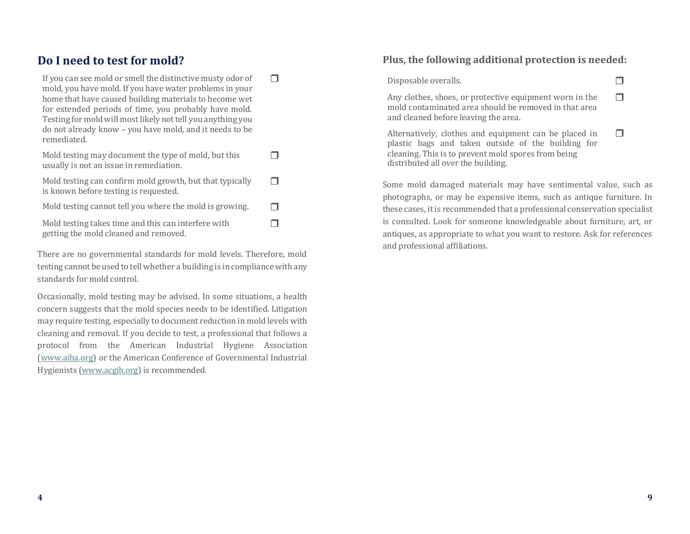# **Do I need to test for mold?**

getting the mold cleaned and removed.

| If you can see mold or smell the distinctive musty odor of<br>mold, you have mold. If you have water problems in your<br>home that have caused building materials to become wet<br>for extended periods of time, you probably have mold.<br>Testing for mold will most likely not tell you anything you<br>do not already know - you have mold, and it needs to be<br>remediated. |  |
|-----------------------------------------------------------------------------------------------------------------------------------------------------------------------------------------------------------------------------------------------------------------------------------------------------------------------------------------------------------------------------------|--|
| Mold testing may document the type of mold, but this<br>usually is not an issue in remediation.                                                                                                                                                                                                                                                                                   |  |
| Mold testing can confirm mold growth, but that typically<br>is known before testing is requested.                                                                                                                                                                                                                                                                                 |  |
| Mold testing cannot tell you where the mold is growing.                                                                                                                                                                                                                                                                                                                           |  |
| Mold testing takes time and this can interfere with                                                                                                                                                                                                                                                                                                                               |  |

There are no governmental standards for mold levels. Therefore, mold testing cannot be used to tell whether a building is in compliance with any standards for mold control.

Occasionally, mold testing may be advised. In some situations, a health concern suggests that the mold species needs to be identified. Litigation may require testing, especially to document reduction in mold levels with cleaning and removal. If you decide to test, a professional that follows a protocol from the American Industrial Hygiene Association [\(www.aiha.org\)](http://www.aiha.org/) or the American Conference of Governmental Industrial Hygienists [\(www.acgih.org\)](http://www.acgih.org/) is recommended.

#### **Plus, the following additional protection is needed:**

Disposable overalls.

Any clothes, shoes, or protective equipment worn in the mold contaminated area should be removed in that area and cleaned before leaving the area.  $\Box$ 

Alternatively, clothes and equipment can be placed in plastic bags and taken outside of the building for cleaning. This is to prevent mold spores from being distributed all over the building.  $\Box$ 

Some mold damaged materials may have sentimental value, such as photographs, or may be expensive items, such as antique furniture. In these cases, itis recommended that a professional conservation specialist is consulted. Look for someone knowledgeable about furniture, art, or antiques, as appropriate to what you want to restore. Ask for references and professional affiliations.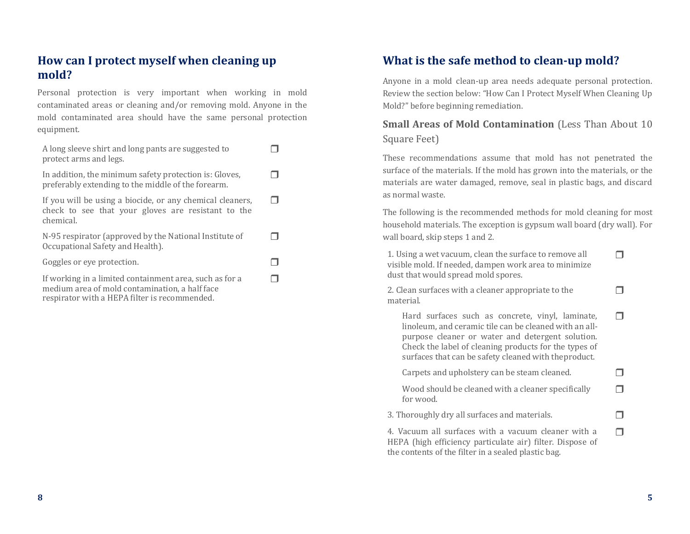# **How can I protect myself when cleaning up mold?**

Personal protection is very important when working in mold contaminated areas or cleaning and/or removing mold. Anyone in the mold contaminated area should have the same personal protection equipment.

| A long sleeve shirt and long pants are suggested to<br>protect arms and legs.                                                |  |
|------------------------------------------------------------------------------------------------------------------------------|--|
| In addition, the minimum safety protection is: Gloves,<br>preferably extending to the middle of the forearm.                 |  |
| If you will be using a biocide, or any chemical cleaners,<br>check to see that your gloves are resistant to the<br>chemical. |  |
| N-95 respirator (approved by the National Institute of<br>Occupational Safety and Health).                                   |  |
| Goggles or eye protection.                                                                                                   |  |
| If working in a limited containment area, such as for a<br>medium area of mold contamination, a half face                    |  |

respirator with a HEPA filter is recommended.

# **What is the safe method to clean-up mold?**

Anyone in a mold clean-up area needs adequate personal protection. Review the section below: "How Can I Protect Myself When Cleaning Up Mold?" before beginning remediation.

## **Small Areas of Mold Contamination** (Less Than About 10) Square Feet)

These recommendations assume that mold has not penetrated the surface of the materials. If the mold has grown into the materials, or the materials are water damaged, remove, seal in plastic bags, and discard as normal waste.

The following is the recommended methods for mold cleaning for most household materials. The exception is gypsum wall board (dry wall). For wall board, skip steps 1 and 2.

1. Using a wet vacuum, clean the surface to remove all visible mold. If needed, dampen work area to minimize dust that would spread mold spores.

2. Clean surfaces with a cleaner appropriate to the material.

Hard surfaces such as concrete, vinyl, laminate, linoleum, and ceramic tile can be cleaned with an allpurpose cleaner or water and detergent solution. Check the label of cleaning products for the types of surfaces that can be safety cleaned with theproduct.

Carpets and upholstery can be steam cleaned.  $\Box$ Wood should be cleaned with a cleaner specifically  $\Box$ 

for wood.

3. Thoroughly dry all surfaces and materials.

4. Vacuum all surfaces with a vacuum cleaner with a HEPA (high efficiency particulate air) filter. Dispose of the contents of the filter in a sealed plastic bag.

 $\Box$ 

 $\Box$ 

 $\Box$ 

 $\Box$